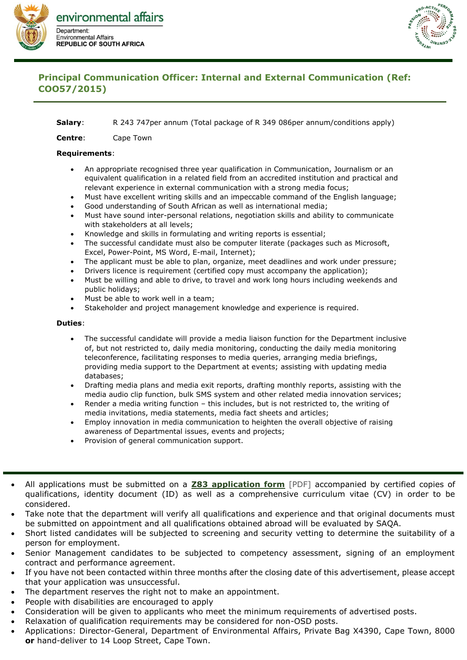



## **Principal Communication Officer: Internal and External Communication (Ref: COO57/2015)**

## **Salary**: R 243 747per annum (Total package of R 349 086per annum/conditions apply)

**Centre**: Cape Town

## **Requirements**:

- An appropriate recognised three year qualification in Communication, Journalism or an equivalent qualification in a related field from an accredited institution and practical and relevant experience in external communication with a strong media focus;
- Must have excellent writing skills and an impeccable command of the English language;
- Good understanding of South African as well as international media;
- Must have sound inter-personal relations, negotiation skills and ability to communicate with stakeholders at all levels;
- Knowledge and skills in formulating and writing reports is essential;
- The successful candidate must also be computer literate (packages such as Microsoft, Excel, Power-Point, MS Word, E-mail, Internet);
- The applicant must be able to plan, organize, meet deadlines and work under pressure;
- Drivers licence is requirement (certified copy must accompany the application);
- Must be willing and able to drive, to travel and work long hours including weekends and public holidays;
- Must be able to work well in a team;
- Stakeholder and project management knowledge and experience is required.

## **Duties**:

- The successful candidate will provide a media liaison function for the Department inclusive of, but not restricted to, daily media monitoring, conducting the daily media monitoring teleconference, facilitating responses to media queries, arranging media briefings, providing media support to the Department at events; assisting with updating media databases;
- Drafting media plans and media exit reports, drafting monthly reports, assisting with the media audio clip function, bulk SMS system and other related media innovation services;
- Render a media writing function this includes, but is not restricted to, the writing of media invitations, media statements, media fact sheets and articles;
- Employ innovation in media communication to heighten the overall objective of raising awareness of Departmental issues, events and projects;
- Provision of general communication support.
- All applications must be submitted on a **[Z83 application form](https://www.environment.gov.za/sites/default/files/docs/forms/Z83_application_for_employment.pdf)** [PDF] accompanied by certified copies of qualifications, identity document (ID) as well as a comprehensive curriculum vitae (CV) in order to be considered.
- Take note that the department will verify all qualifications and experience and that original documents must be submitted on appointment and all qualifications obtained abroad will be evaluated by SAQA.
- Short listed candidates will be subjected to screening and security vetting to determine the suitability of a person for employment.
- Senior Management candidates to be subjected to competency assessment, signing of an employment contract and performance agreement.
- If you have not been contacted within three months after the closing date of this advertisement, please accept that your application was unsuccessful.
- The department reserves the right not to make an appointment.
- People with disabilities are encouraged to apply
- Consideration will be given to applicants who meet the minimum requirements of advertised posts.
- Relaxation of qualification requirements may be considered for non-OSD posts.
- Applications: Director-General, Department of Environmental Affairs, Private Bag X4390, Cape Town, 8000 **or** hand-deliver to 14 Loop Street, Cape Town.